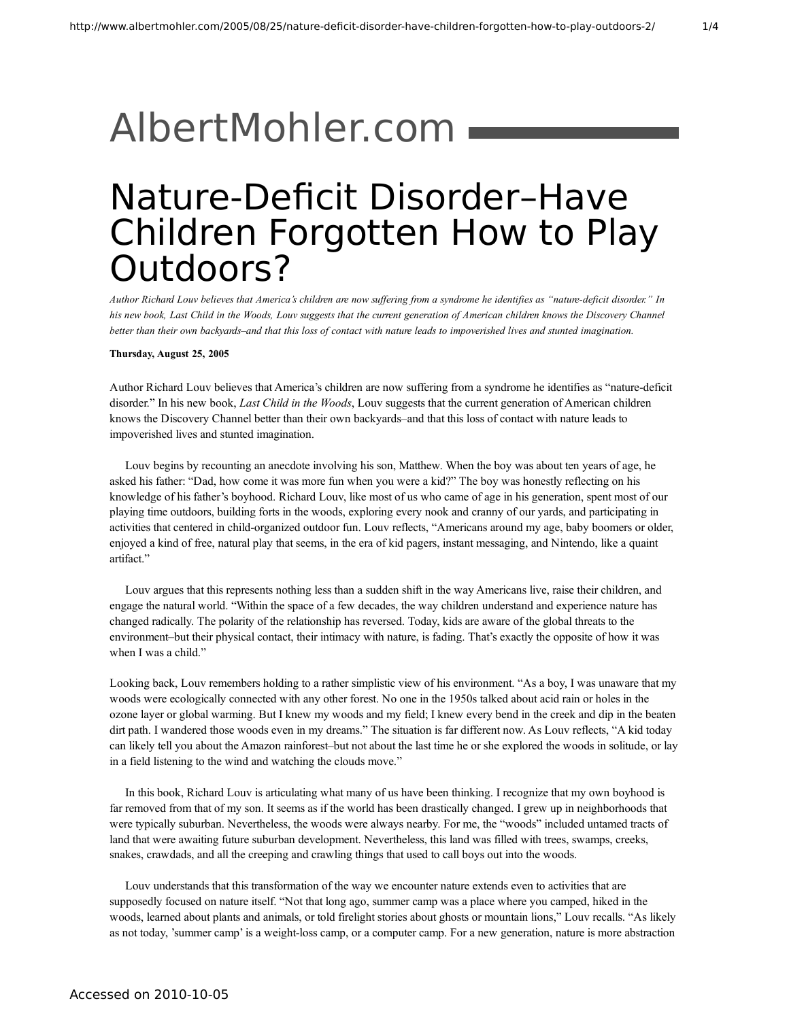## [AlbertMohler.com](http://www.albertmohler.com/)

## Nature-Deficit Disorder–Have Children Forgotten How to Play Outdoors?

Author Richard Louv believes that America's children are now suffering from a syndrome he identifies as "nature-deficit disorder." In his new book, Last Child in the Woods, Louv suggests that the current generation of American children knows the Discovery Channel better than their own backyards-and that this loss of contact with nature leads to impoverished lives and stunted imagination.

## **Thursday, August 25, 2005**

Author Richard Louv believes that America's children are now suffering from a syndrome he identifies as "nature-deficit disorder." In his new book, *Last Child in the Woods*, Louv suggests that the current generation of American children knows the Discovery Channel better than their own backyards–and that this loss of contact with nature leads to impoverished lives and stunted imagination.

Louv begins by recounting an anecdote involving his son, Matthew. When the boy was about ten years of age, he asked his father: "Dad, how come it was more fun when you were a kid?" The boy was honestly reflecting on his knowledge of his father's boyhood. Richard Louv, like most of us who came of age in his generation, spent most of our playing time outdoors, building forts in the woods, exploring every nook and cranny of our yards, and participating in activities that centered in child-organized outdoor fun. Louv reflects, "Americans around my age, baby boomers or older, enjoyed a kind of free, natural play that seems, in the era of kid pagers, instant messaging, and Nintendo, like a quaint artifact."

Louv argues that this represents nothing less than a sudden shift in the way Americans live, raise their children, and engage the natural world. "Within the space of a few decades, the way children understand and experience nature has changed radically. The polarity of the relationship has reversed. Today, kids are aware of the global threats to the environment–but their physical contact, their intimacy with nature, is fading. That's exactly the opposite of how it was when I was a child."

Looking back, Louv remembers holding to a rather simplistic view of his environment. "As a boy, I was unaware that my woods were ecologically connected with any other forest. No one in the 1950s talked about acid rain or holes in the ozone layer or global warming. But I knew my woods and my field; I knew every bend in the creek and dip in the beaten dirt path. I wandered those woods even in my dreams." The situation is far different now. As Louv reflects, "A kid today can likely tell you about the Amazon rainforest–but not about the last time he or she explored the woods in solitude, or lay in a field listening to the wind and watching the clouds move."

In this book, Richard Louv is articulating what many of us have been thinking. I recognize that my own boyhood is far removed from that of my son. It seems as if the world has been drastically changed. I grew up in neighborhoods that were typically suburban. Nevertheless, the woods were always nearby. For me, the "woods" included untamed tracts of land that were awaiting future suburban development. Nevertheless, this land was filled with trees, swamps, creeks, snakes, crawdads, and all the creeping and crawling things that used to call boys out into the woods.

Louv understands that this transformation of the way we encounter nature extends even to activities that are supposedly focused on nature itself. "Not that long ago, summer camp was a place where you camped, hiked in the woods, learned about plants and animals, or told firelight stories about ghosts or mountain lions," Louv recalls. "As likely as not today, 'summer camp' is a weight-loss camp, or a computer camp. For a new generation, nature is more abstraction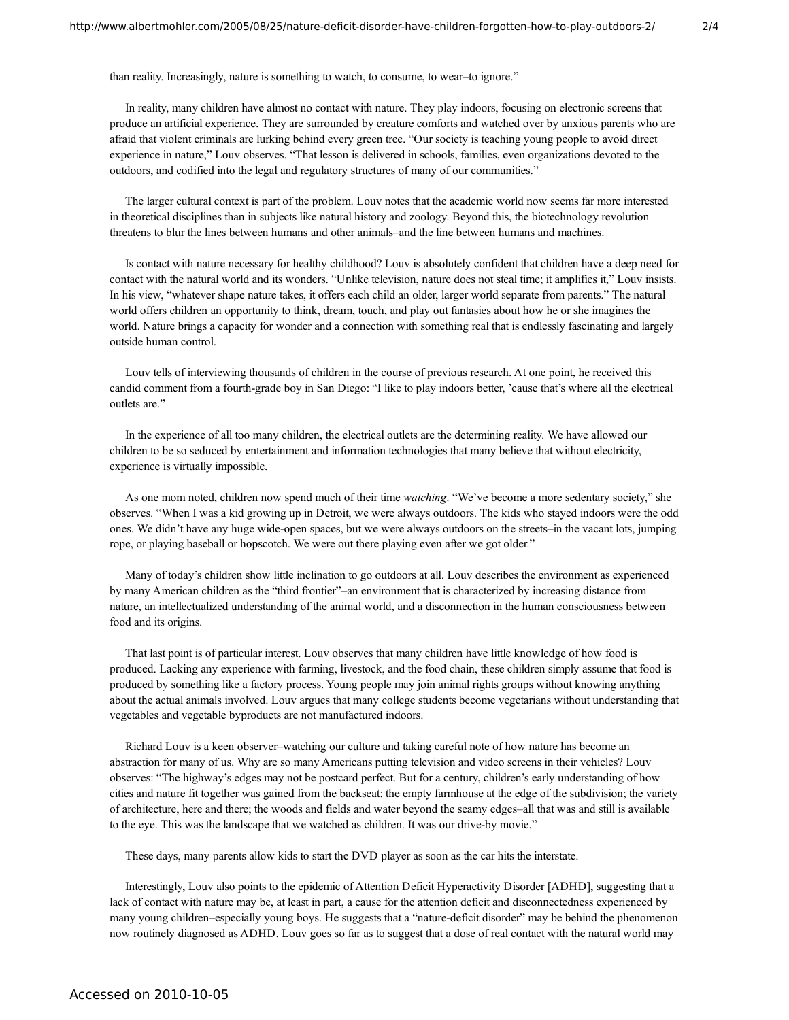than reality. Increasingly, nature is something to watch, to consume, to wear–to ignore."

In reality, many children have almost no contact with nature. They play indoors, focusing on electronic screens that produce an artificial experience. They are surrounded by creature comforts and watched over by anxious parents who are afraid that violent criminals are lurking behind every green tree. "Our society is teaching young people to avoid direct experience in nature," Louv observes. "That lesson is delivered in schools, families, even organizations devoted to the outdoors, and codified into the legal and regulatory structures of many of our communities."

The larger cultural context is part of the problem. Louv notes that the academic world now seems far more interested in theoretical disciplines than in subjects like natural history and zoology. Beyond this, the biotechnology revolution threatens to blur the lines between humans and other animals–and the line between humans and machines.

Is contact with nature necessary for healthy childhood? Louv is absolutely confident that children have a deep need for contact with the natural world and its wonders. "Unlike television, nature does not steal time; it amplifies it," Louv insists. In his view, "whatever shape nature takes, it offers each child an older, larger world separate from parents." The natural world offers children an opportunity to think, dream, touch, and play out fantasies about how he or she imagines the world. Nature brings a capacity for wonder and a connection with something real that is endlessly fascinating and largely outside human control.

Louv tells of interviewing thousands of children in the course of previous research. At one point, he received this candid comment from a fourth-grade boy in San Diego: "I like to play indoors better, 'cause that's where all the electrical outlets are."

In the experience of all too many children, the electrical outlets are the determining reality. We have allowed our children to be so seduced by entertainment and information technologies that many believe that without electricity, experience is virtually impossible.

As one mom noted, children now spend much of their time *watching*. "We've become a more sedentary society," she observes. "When I was a kid growing up in Detroit, we were always outdoors. The kids who stayed indoors were the odd ones. We didn't have any huge wide-open spaces, but we were always outdoors on the streets–in the vacant lots, jumping rope, or playing baseball or hopscotch. We were out there playing even after we got older."

Many of today's children show little inclination to go outdoors at all. Louv describes the environment as experienced by many American children as the "third frontier"–an environment that is characterized by increasing distance from nature, an intellectualized understanding of the animal world, and a disconnection in the human consciousness between food and its origins.

That last point is of particular interest. Louv observes that many children have little knowledge of how food is produced. Lacking any experience with farming, livestock, and the food chain, these children simply assume that food is produced by something like a factory process. Young people may join animal rights groups without knowing anything about the actual animals involved. Louv argues that many college students become vegetarians without understanding that vegetables and vegetable byproducts are not manufactured indoors.

Richard Louv is a keen observer–watching our culture and taking careful note of how nature has become an abstraction for many of us. Why are so many Americans putting television and video screens in their vehicles? Louv observes: "The highway's edges may not be postcard perfect. But for a century, children's early understanding of how cities and nature fit together was gained from the backseat: the empty farmhouse at the edge of the subdivision; the variety of architecture, here and there; the woods and fields and water beyond the seamy edges–all that was and still is available to the eye. This was the landscape that we watched as children. It was our drive-by movie."

These days, many parents allow kids to start the DVD player as soon as the car hits the interstate.

Interestingly, Louv also points to the epidemic of Attention Deficit Hyperactivity Disorder [ADHD], suggesting that a lack of contact with nature may be, at least in part, a cause for the attention deficit and disconnectedness experienced by many young children–especially young boys. He suggests that a "nature-deficit disorder" may be behind the phenomenon now routinely diagnosed as ADHD. Louv goes so far as to suggest that a dose of real contact with the natural world may